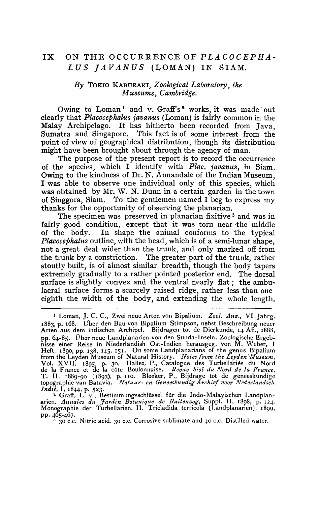## **IX** ON THE OCCURRENCE'OF *PLACOCEPHA-*LUS *JAVANUS* (LOMAN) IN SIAM.

## *By* TOKIO KABURAKI, *Zoological Laboratory, the Museums, Cambridge.*

Owing to Loman<sup>1</sup> and v. Graff's<sup>2</sup> works, it was made out clearly that *Placocephalus javanus* (Loman) is fairly common in the Malay Archipelago. It has hitherto been recorded from Java, Sumatra and Singapore. This fact is of some interest from the point of view of geographical distribution, though its distribution might have been brought about through the agency of man.

The purpose of the present report is to record the occurrence of the species, which I identify with *Plac. javanus,* in Siam. Owing to the kindness of Dr. N. Annandale of the Indian Museum, I was able to observe one individual only of this species, which was obtained by Mr. W. N. Dunn in a certain garden in the town of Singgora, Siam. To the gentlemen named I beg to express my thanks for the opportunity of observing the planarian.

The specimen was preserved in planarian fixitive<sup>3</sup> and was in fairly good condition, except that it was torn near the middle<br>of the body. In shape the animal conforms to the typical In shape the animal conforms to the typical *Placocephalus* outline, with the head, which is of a semi-lunar shape, not a great deal wider than the trunk, and only marked off from<br>the trunk by a constriction. The greater part of the trunk, rather The greater part of the trunk, rather stoutly built, is of almost similar breadth, though the body tapers extremely gradually to a rather pointed posterior end. The dorsal surface is slightly convex and the ventral nearly flat; the ambulacral surface forms a scarcely raised ridge, rather less than one eighth the width of the body, and extending the whole length.

<sup>L</sup>Loman, J. C. C., Zwei neue Arten von Bipalium. *Zool. Anz.,* VI Jahrg. 1883, p. 168. Vber den Bau von Bipalium Stimpson, nebst Beschreibung neuer Arten aus dem indischen Archipel. Bijdragen tot de Dierkunde, 14 Afl., 1888, pp. 64-85. Über neue Landplanarien von den Sunda-Inseln. Zoologische Ergebnisse einer Reise in Niederländish Ost-Indien herausgeg. von M. Weber, I Heft, 1890, pp. 138, 145, 151. On some Landplanarians of the genus Bipalium from the Leyden Museum of Natural History. *Notes from the Leyden Museum*, Vol. XVII, 1895, p. 30. Hallez, P., Catalogue des Turbellariés du Nord de la France et de la c6te Boulonnaise. *Re'lJue bioI du Nord de la France,*  T. II, 1889-90 (1893), p.1I0. Bleeker, P., Bijdrage tot de geneeskundige topographie van Batavia. *Natuur- en Geneeskundig Archief voor Nederlandsch Indie*, I, 1844, p. 523.

<sup>&</sup>lt;sup>2</sup> Graff, L. v., Bestimmungsschlüssel für die Indo-Malayischen Landplanarien. *Annales du Jardin Botanique de Buitenzog,* Suppl. II, 1898, p. 12+. Monographie der Turbellarien. II. Tricladida terricola (Landplanarien), 1899, pp. 465-467.

 $\frac{1}{2}$  30 c.c. Nitric acid. 30 c.c. Corrosive sublimate and 40 c.c. Distilled water.